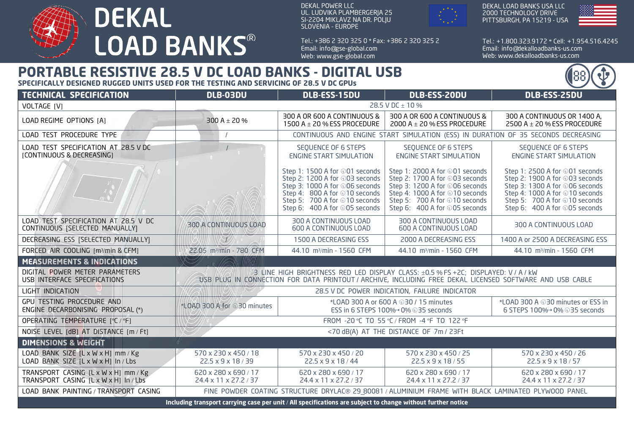

DEKAL POWER LLC UL. LUDVIKA PLAMBERGERJA 25 SI-2204 MIKLAVZ NA DR. POLJU SLOVENIA - EUROPE

Tel.: + 386 2 320 325 0 \* Fax: + 386 2 320 325 2 Email: info@gse-global.com Web: www.gse-global.com



Tel.: + 1.800.323.9172 \* Cell: + 1.954.516.4245

Email: info@dekalloadbanks-us.com Web: www.dekalloadbanks-us.com

## **PORTABLE RESISTIVE 28.5 V DC LOAD BANKS - DIGITAL USB**

**SPECIFICALLY DESIGNED RUGGED UNITS USED FOR THE TESTING AND SERVICING OF 28.5 V DC GPUs**

| <b>TECHNICAL SPECIFICATION</b>                                                                               | DLB-03DU                                                                                                                                                                                       | DLB-ESS-15DU                                                                                                                                                                                          | DLB-ESS-20DU                                                                                                                                                                                           | DLB-ESS-25DU                                                                                                                                                                                           |
|--------------------------------------------------------------------------------------------------------------|------------------------------------------------------------------------------------------------------------------------------------------------------------------------------------------------|-------------------------------------------------------------------------------------------------------------------------------------------------------------------------------------------------------|--------------------------------------------------------------------------------------------------------------------------------------------------------------------------------------------------------|--------------------------------------------------------------------------------------------------------------------------------------------------------------------------------------------------------|
| VOLTAGE [V]                                                                                                  | 28.5 V DC ± 10 %                                                                                                                                                                               |                                                                                                                                                                                                       |                                                                                                                                                                                                        |                                                                                                                                                                                                        |
| LOAD REGIME OPTIONS [A]                                                                                      | 300 A $\pm$ 20 %                                                                                                                                                                               | 300 A OR 600 A CONTINUOUS &<br>1500 A $\pm$ 20 % ESS PROCEDURE                                                                                                                                        | 300 A OR 600 A CONTINUOUS &<br>2000 A $\pm$ 20 % ESS PROCEDURE                                                                                                                                         | 300 A CONTINUOUS OR 1400 A,<br>2500 A $\pm$ 20 % ESS PROCEDURE                                                                                                                                         |
| LOAD TEST PROCEDURE TYPE                                                                                     | CONTINUOUS AND ENGINE START SIMULATION (ESS) IN DURATION OF 35 SECONDS DECREASING                                                                                                              |                                                                                                                                                                                                       |                                                                                                                                                                                                        |                                                                                                                                                                                                        |
| LOAD TEST SPECIFICATION AT 28.5 V DC<br>[CONTINUOUS & DECREASING]                                            |                                                                                                                                                                                                | SEQUENCE OF 6 STEPS<br><b>ENGINE START SIMULATION</b>                                                                                                                                                 | SEQUENCE OF 6 STEPS<br><b>ENGINE START SIMULATION</b>                                                                                                                                                  | SEQUENCE OF 6 STEPS<br><b>ENGINE START SIMULATION</b>                                                                                                                                                  |
|                                                                                                              |                                                                                                                                                                                                | Step 1: 1500 A for ⊕01 seconds<br>Step 2: 1200 A for ⊕03 seconds<br>Step 3: 1000 A for ⊕06 seconds<br>Step 4: 800 A for ⊕10 seconds<br>Step 5: 700 A for ⊕10 seconds<br>Step 6: 400 A for ⊕05 seconds | Step 1: 2000 A for ⊕01 seconds<br>Step 2: 1700 A for ⊕03 seconds<br>Step 3: 1200 A for ⊕06 seconds<br>Step 4: 1000 A for ⊕10 seconds<br>Step 5: 700 A for ⊕10 seconds<br>Step 6: 400 A for ⊕05 seconds | Step 1: 2500 A for ⊕01 seconds<br>Step 2: 1900 A for ⊕03 seconds<br>Step 3: 1300 A for ⊕06 seconds<br>Step 4: 1000 A for ⊕10 seconds<br>Step 5: 700 A for ⊕10 seconds<br>Step 6: 400 A for ⊕05 seconds |
| LOAD TEST SPECIFICATION AT 28.5 V DC<br>CONTINUOUS [SELECTED MANUALLY]                                       | 300 A CONTINUOUS LOAD                                                                                                                                                                          | 300 A CONTINUOUS LOAD<br>600 A CONTINUOUS LOAD                                                                                                                                                        | 300 A CONTINUOUS LOAD<br>600 A CONTINUOUS LOAD                                                                                                                                                         | 300 A CONTINUOUS LOAD                                                                                                                                                                                  |
| DECREASING ESS [SELECTED MANUALLY]                                                                           |                                                                                                                                                                                                | 1500 A DECREASING ESS                                                                                                                                                                                 | 2000 A DECREASING ESS                                                                                                                                                                                  | 1400 A or 2500 A DECREASING ESS                                                                                                                                                                        |
| FORCED AIR COOLING [m3/min & CFM]                                                                            | 22.05 m <sup>3</sup> /min - 780 CFM                                                                                                                                                            | 44.10 m <sup>3</sup> /min - 1560 CFM                                                                                                                                                                  | 44.10 m <sup>3</sup> /min - 1560 CFM                                                                                                                                                                   | 44.10 m <sup>3</sup> /min - 1560 CFM                                                                                                                                                                   |
| <b>MEASUREMENTS &amp; INDICATIONS</b>                                                                        |                                                                                                                                                                                                |                                                                                                                                                                                                       |                                                                                                                                                                                                        |                                                                                                                                                                                                        |
| DIGITAL POWER METER PARAMETERS<br>USB INTERFACE SPECIFICATIONS                                               | 3 LINE HIGH BRIGHTNESS RED LED DISPLAY CLASS: ±0.5 % FS +2C; DISPLAYED: V / A / kW<br>USB PLUG IN CONNECTION FOR DATA PRINTOUT / ARCHIVE, INCLUDING FREE DEKAL LICENSED SOFTWARE AND USB CABLE |                                                                                                                                                                                                       |                                                                                                                                                                                                        |                                                                                                                                                                                                        |
| LIGHT INDICATION                                                                                             | 28.5 V DC POWER INDICATION, FAILURE INDICATOR                                                                                                                                                  |                                                                                                                                                                                                       |                                                                                                                                                                                                        |                                                                                                                                                                                                        |
| GPU TESTING PROCEDURE AND<br>ENGINE DECARBONISING PROPOSAL (*)                                               | *LOAD 300 A for 030 minutes                                                                                                                                                                    | *LOAD 300 A or 600 A $\oplus$ 30 / 15 minutes<br>ESS in 6 STEPS 100%→ 0% + 35 seconds                                                                                                                 |                                                                                                                                                                                                        | *LOAD 300 A $\oplus$ 30 minutes or ESS in<br>6 STEPS 100%→ 0% 035 seconds                                                                                                                              |
| OPERATING TEMPERATURE [°C / °F]                                                                              | FROM -20 °C TO 55 °C / FROM -4 °F TO 122 °F                                                                                                                                                    |                                                                                                                                                                                                       |                                                                                                                                                                                                        |                                                                                                                                                                                                        |
| NOISE LEVEL [dB] AT DISTANCE [m / Ft]                                                                        | <70 dB(A) AT THE DISTANCE OF 7m / 23Ft                                                                                                                                                         |                                                                                                                                                                                                       |                                                                                                                                                                                                        |                                                                                                                                                                                                        |
| <b>DIMENSIONS &amp; WEIGHT</b>                                                                               |                                                                                                                                                                                                |                                                                                                                                                                                                       |                                                                                                                                                                                                        |                                                                                                                                                                                                        |
| LOAD BANK SIZE [L x W x H] mm / Kg<br>LOAD BANK SIZE [L x W x H] In / Lbs                                    | 570 x 230 x 450 / 18<br>22.5 x 9 x 18 / 39                                                                                                                                                     | 570 x 230 x 450 / 20<br>22.5 x 9 x 18 / 44                                                                                                                                                            | 570 x 230 x 450 / 25<br>22.5 x 9 x 18 / 55                                                                                                                                                             | 570 x 230 x 450 / 26<br>22.5 x 9 x 18 / 57                                                                                                                                                             |
| TRANSPORT CASING [L x W x H] mm / Kg<br>TRANSPORT CASING [LxWxH] In/Lbs                                      | 620 x 280 x 690 / 17<br>24.4 x 11 x 27.2 / 37                                                                                                                                                  | 620 x 280 x 690 / 17<br>24.4 x 11 x 27.2 / 37                                                                                                                                                         | 620 x 280 x 690 / 17<br>24.4 x 11 x 27.2 / 37                                                                                                                                                          | 620 x 280 x 690 / 17<br>24.4 x 11 x 27.2 / 37                                                                                                                                                          |
| LOAD BANK PAINTING / TRANSPORT CASING                                                                        | FINE POWDER COATING STRUCTURE DRYLAC® 29 80081 / ALUMINIUM FRAME WITH BLACK LAMINATED PLYWOOD PANEL                                                                                            |                                                                                                                                                                                                       |                                                                                                                                                                                                        |                                                                                                                                                                                                        |
| Including transport carrying case per unit / All specifications are subject to change without further notice |                                                                                                                                                                                                |                                                                                                                                                                                                       |                                                                                                                                                                                                        |                                                                                                                                                                                                        |